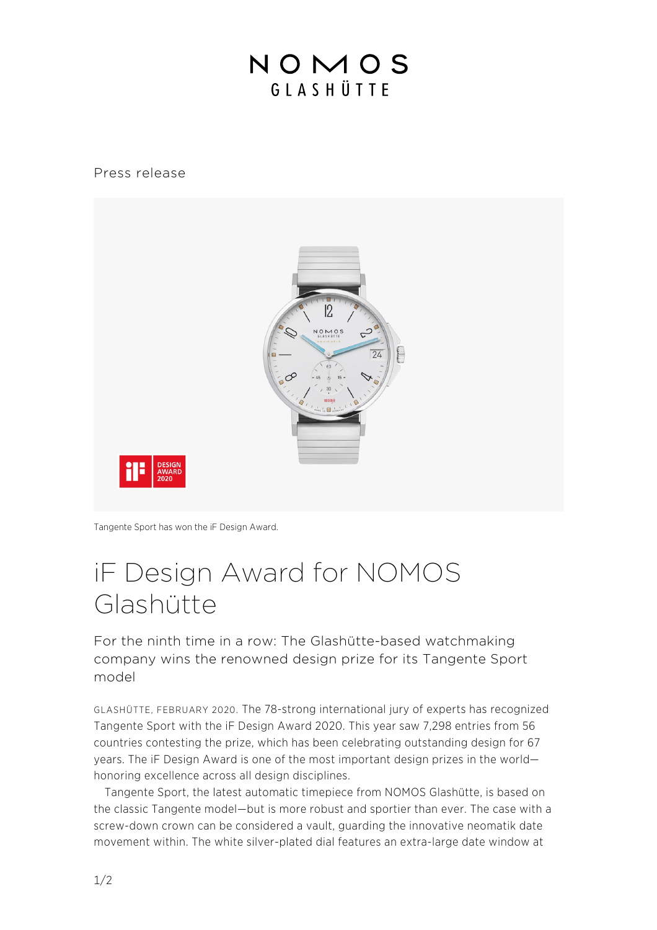## NOMOS GIASHÜTTE

Press release



Tangente Sport has won the iF Design Award.

## iF Design Award for NOMOS Glashütte

For the ninth time in a row: The Glashütte-based watchmaking company wins the renowned design prize for its Tangente Sport model

GLASHÜTTE, FEBRUARY 2020. The 78-strong international jury of experts has recognized Tangente Sport with the iF Design Award 2020. This year saw 7,298 entries from 56 countries contesting the prize, which has been celebrating outstanding design for 67 years. The iF Design Award is one of the most important design prizes in the world honoring excellence across all design disciplines.

Tangente Sport, the latest automatic timepiece from NOMOS Glashütte, is based on the classic Tangente model—but is more robust and sportier than ever. The case with a screw-down crown can be considered a vault, guarding the innovative neomatik date movement within. The white silver-plated dial features an extra-large date window at